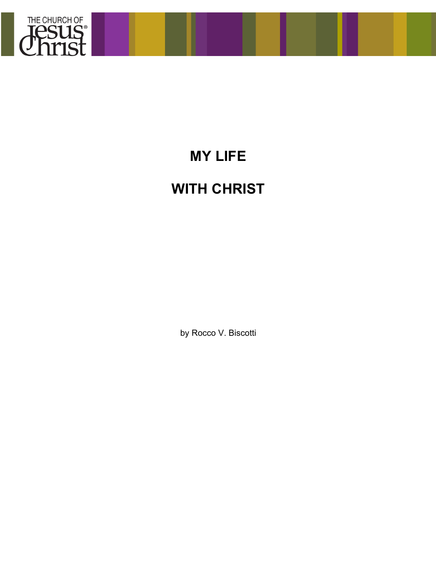

## **MY LIFE**

## **WITH CHRIST**

by Rocco V. Biscotti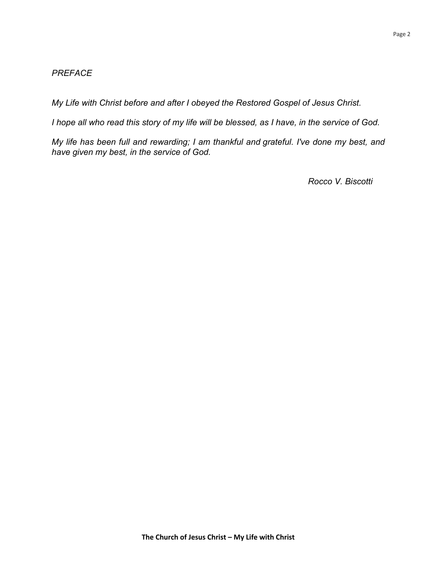## *PREFACE*

*My Life with Christ before and after I obeyed the Restored Gospel of Jesus Christ.*

*I hope all who read this story of my life will be blessed, as I have, in the service of God.*

*My life has been full and rewarding; I am thankful and grateful. I've done my best, and have given my best, in the service of God.*

*Rocco V. Biscotti*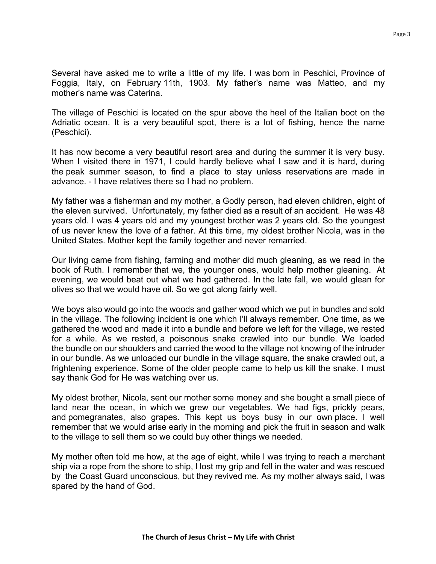Several have asked me to write a little of my life. I was born in Peschici, Province of Foggia, Italy, on February 11th, 1903. My father's name was Matteo, and my mother's name was Caterina.

The village of Peschici is located on the spur above the heel of the Italian boot on the Adriatic ocean. It is a very beautiful spot, there is a lot of fishing, hence the name (Peschici).

It has now become a very beautiful resort area and during the summer it is very busy. When I visited there in 1971, I could hardly believe what I saw and it is hard, during the peak summer season, to find a place to stay unless reservations are made in advance. - I have relatives there so I had no problem.

My father was a fisherman and my mother, a Godly person, had eleven children, eight of the eleven survived. Unfortunately, my father died as a result of an accident. He was 48 years old. I was 4 years old and my youngest brother was 2 years old. So the youngest of us never knew the love of a father. At this time, my oldest brother Nicola, was in the United States. Mother kept the family together and never remarried.

Our living came from fishing, farming and mother did much gleaning, as we read in the book of Ruth. I remember that we, the younger ones, would help mother gleaning. At evening, we would beat out what we had gathered. In the late fall, we would glean for olives so that we would have oil. So we got along fairly well.

We boys also would go into the woods and gather wood which we put in bundles and sold in the village. The following incident is one which I'll always remember. One time, as we gathered the wood and made it into a bundle and before we left for the village, we rested for a while. As we rested, a poisonous snake crawled into our bundle. We loaded the bundle on our shoulders and carried the wood to the village not knowing of the intruder in our bundle. As we unloaded our bundle in the village square, the snake crawled out, a frightening experience. Some of the older people came to help us kill the snake. I must say thank God for He was watching over us.

My oldest brother, Nicola, sent our mother some money and she bought a small piece of land near the ocean, in which we grew our vegetables. We had figs, prickly pears, and pomegranates, also grapes. This kept us boys busy in our own place. I well remember that we would arise early in the morning and pick the fruit in season and walk to the village to sell them so we could buy other things we needed.

My mother often told me how, at the age of eight, while I was trying to reach a merchant ship via a rope from the shore to ship, I lost my grip and fell in the water and was rescued by the Coast Guard unconscious, but they revived me. As my mother always said, I was spared by the hand of God.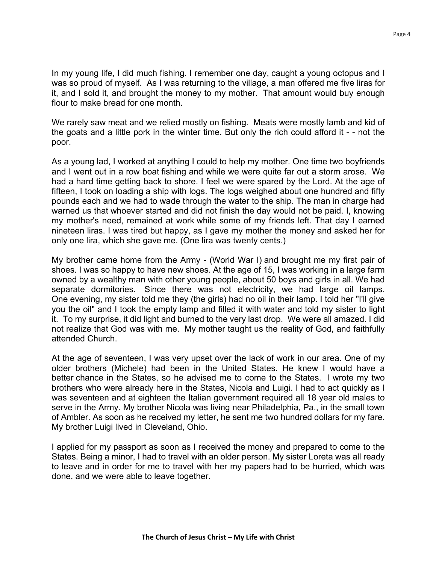In my young life, I did much fishing. I remember one day, caught a young octopus and I was so proud of myself. As I was returning to the village, a man offered me five liras for it, and I sold it, and brought the money to my mother. That amount would buy enough flour to make bread for one month.

We rarely saw meat and we relied mostly on fishing. Meats were mostly lamb and kid of the goats and a little pork in the winter time. But only the rich could afford it - - not the poor.

As a young lad, I worked at anything I could to help my mother. One time two boyfriends and I went out in a row boat fishing and while we were quite far out a storm arose. We had a hard time getting back to shore. I feel we were spared by the Lord. At the age of fifteen, I took on loading a ship with logs. The logs weighed about one hundred and fifty pounds each and we had to wade through the water to the ship. The man in charge had warned us that whoever started and did not finish the day would not be paid. I, knowing my mother's need, remained at work while some of my friends left. That day I earned nineteen liras. I was tired but happy, as I gave my mother the money and asked her for only one lira, which she gave me. (One lira was twenty cents.)

My brother came home from the Army - (World War I) and brought me my first pair of shoes. I was so happy to have new shoes. At the age of 15, I was working in a large farm owned by a wealthy man with other young people, about 50 boys and girls in all. We had separate dormitories. Since there was not electricity, we had large oil lamps. One evening, my sister told me they (the girls) had no oil in their lamp. I told her "I'll give you the oil" and I took the empty lamp and filled it with water and told my sister to light it. To my surprise, it did light and burned to the very last drop. We were all amazed. I did not realize that God was with me. My mother taught us the reality of God, and faithfully attended Church.

At the age of seventeen, I was very upset over the lack of work in our area. One of my older brothers (Michele) had been in the United States. He knew I would have a better chance in the States, so he advised me to come to the States. I wrote my two brothers who were already here in the States, Nicola and Luigi. I had to act quickly as I was seventeen and at eighteen the Italian government required all 18 year old males to serve in the Army. My brother Nicola was living near Philadelphia, Pa., in the small town of Ambler. As soon as he received my letter, he sent me two hundred dollars for my fare. My brother Luigi lived in Cleveland, Ohio.

I applied for my passport as soon as I received the money and prepared to come to the States. Being a minor, I had to travel with an older person. My sister Loreta was all ready to leave and in order for me to travel with her my papers had to be hurried, which was done, and we were able to leave together.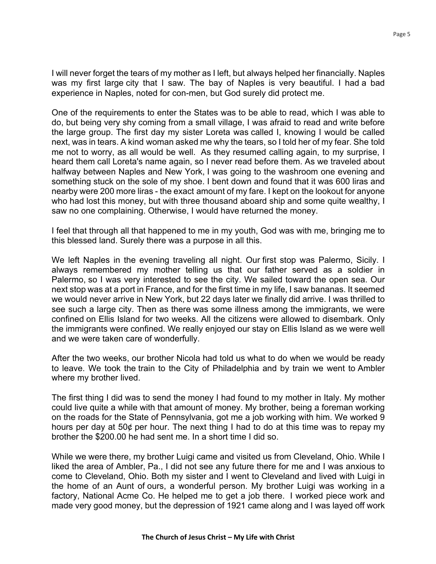I will never forget the tears of my mother as I left, but always helped her financially. Naples was my first large city that I saw. The bay of Naples is very beautiful. I had a bad experience in Naples, noted for con-men, but God surely did protect me.

One of the requirements to enter the States was to be able to read, which I was able to do, but being very shy coming from a small village, I was afraid to read and write before the large group. The first day my sister Loreta was called I, knowing I would be called next, was in tears. A kind woman asked me why the tears, so I told her of my fear. She told me not to worry, as all would be well. As they resumed calling again, to my surprise, I heard them call Loreta's name again, so I never read before them. As we traveled about halfway between Naples and New York, I was going to the washroom one evening and something stuck on the sole of my shoe. I bent down and found that it was 600 liras and nearby were 200 more liras - the exact amount of my fare. I kept on the lookout for anyone who had lost this money, but with three thousand aboard ship and some quite wealthy, I saw no one complaining. Otherwise, I would have returned the money.

I feel that through all that happened to me in my youth, God was with me, bringing me to this blessed land. Surely there was a purpose in all this.

We left Naples in the evening traveling all night. Our first stop was Palermo, Sicily. I always remembered my mother telling us that our father served as a soldier in Palermo, so I was very interested to see the city. We sailed toward the open sea. Our next stop was at a port in France, and for the first time in my life, I saw bananas. It seemed we would never arrive in New York, but 22 days later we finally did arrive. I was thrilled to see such a large city. Then as there was some illness among the immigrants, we were confined on Ellis Island for two weeks. All the citizens were allowed to disembark. Only the immigrants were confined. We really enjoyed our stay on Ellis Island as we were well and we were taken care of wonderfully.

After the two weeks, our brother Nicola had told us what to do when we would be ready to leave. We took the train to the City of Philadelphia and by train we went to Ambler where my brother lived.

The first thing I did was to send the money I had found to my mother in Italy. My mother could live quite a while with that amount of money. My brother, being a foreman working on the roads for the State of Pennsylvania, got me a job working with him. We worked 9 hours per day at 50¢ per hour. The next thing I had to do at this time was to repay my brother the \$200.00 he had sent me. In a short time I did so.

While we were there, my brother Luigi came and visited us from Cleveland, Ohio. While I liked the area of Ambler, Pa., I did not see any future there for me and I was anxious to come to Cleveland, Ohio. Both my sister and I went to Cleveland and lived with Luigi in the home of an Aunt of ours, a wonderful person. My brother Luigi was working in a factory, National Acme Co. He helped me to get a job there. I worked piece work and made very good money, but the depression of 1921 came along and I was layed off work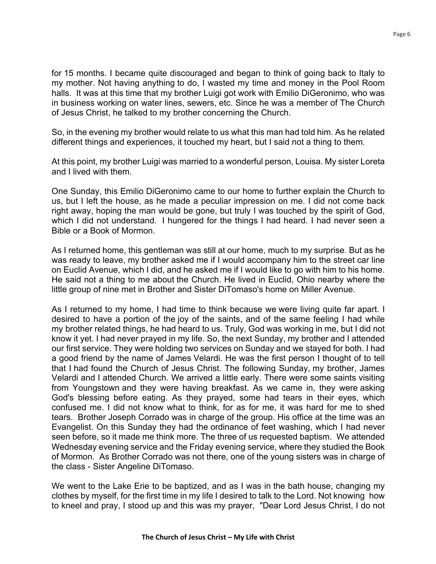for 15 months. I became quite discouraged and began to think of going back to Italy to my mother. Not having anything to do, I wasted my time and money in the Pool Room halls. It was at this time that my brother Luigi got work with Emilio DiGeronimo, who was in business working on water lines, sewers, etc. Since he was a member of The Church of Jesus Christ, he talked to my brother concerning the Church.

So, in the evening my brother would relate to us what this man had told him. As he related different things and experiences, it touched my heart, but I said not a thing to them.

At this point, my brother Luigi was married to a wonderful person, Louisa. My sister Loreta and I lived with them.

One Sunday, this Emilio DiGeronimo came to our home to further explain the Church to us, but I left the house, as he made a peculiar impression on me. I did not come back right away, hoping the man would be gone, but truly I was touched by the spirit of God, which I did not understand. I hungered for the things I had heard. I had never seen a Bible or a Book of Mormon.

As I returned home, this gentleman was still at our home, much to my surprise. But as he was ready to leave, my brother asked me if I would accompany him to the street car line on Euclid Avenue, which I did, and he asked me if I would like to go with him to his home. He said not a thing to me about the Church. He lived in Euclid, Ohio nearby where the little group of nine met in Brother and Sister DiTomaso's home on Miller Avenue.

As I returned to my home, I had time to think because we were living quite far apart. I desired to have a portion of the joy of the saints, and of the same feeling I had while my brother related things, he had heard to us. Truly, God was working in me, but I did not know it yet. I had never prayed in my life. So, the next Sunday, my brother and I attended our first service. They were holding two services on Sunday and we stayed for both. I had a good friend by the name of James Velardi. He was the first person I thought of to tell that I had found the Church of Jesus Christ. The following Sunday, my brother, James Velardi and I attended Church. We arrived a little early. There were some saints visiting from Youngstown and they were having breakfast. As we came in, they were asking God's blessing before eating. As they prayed, some had tears in their eyes, which confused me. I did not know what to think, for as for me, it was hard for me to shed tears. Brother Joseph Corrado was in charge of the group. His office at the time was an Evangelist. On this Sunday they had the ordinance of feet washing, which I had never seen before, so it made me think more. The three of us requested baptism. We attended Wednesday evening service and the Friday evening service, where they studied the Book of Mormon. As Brother Corrado was not there, one of the young sisters was in charge of the class - Sister Angeline DiTomaso.

We went to the Lake Erie to be baptized, and as I was in the bath house, changing my clothes by myself, for the first time in my life I desired to talk to the Lord. Not knowing how to kneel and pray, I stood up and this was my prayer, "Dear Lord Jesus Christ, I do not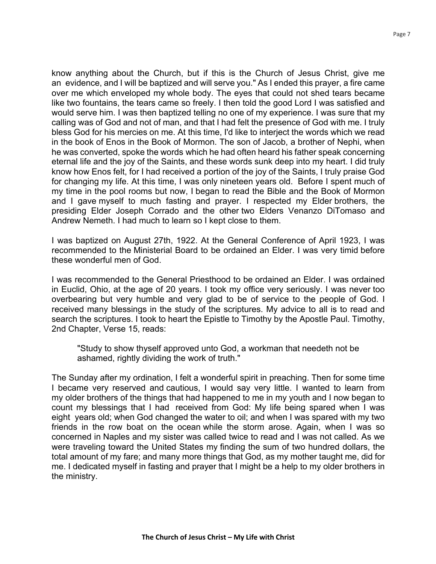know anything about the Church, but if this is the Church of Jesus Christ, give me an evidence, and I will be baptized and will serve you." As I ended this prayer, a fire came over me which enveloped my whole body. The eyes that could not shed tears became like two fountains, the tears came so freely. I then told the good Lord I was satisfied and would serve him. I was then baptized telling no one of my experience. I was sure that my calling was of God and not of man, and that I had felt the presence of God with me. I truly bless God for his mercies on me. At this time, I'd like to interject the words which we read in the book of Enos in the Book of Mormon. The son of Jacob, a brother of Nephi, when he was converted, spoke the words which he had often heard his father speak concerning eternal life and the joy of the Saints, and these words sunk deep into my heart. I did truly know how Enos felt, for I had received a portion of the joy of the Saints, I truly praise God for changing my life. At this time, I was only nineteen years old. Before I spent much of my time in the pool rooms but now, I began to read the Bible and the Book of Mormon and I gave myself to much fasting and prayer. I respected my Elder brothers, the presiding Elder Joseph Corrado and the other two Elders Venanzo DiTomaso and Andrew Nemeth. I had much to learn so I kept close to them.

I was baptized on August 27th, 1922. At the General Conference of April 1923, I was recommended to the Ministerial Board to be ordained an Elder. I was very timid before these wonderful men of God.

I was recommended to the General Priesthood to be ordained an Elder. I was ordained in Euclid, Ohio, at the age of 20 years. I took my office very seriously. I was never too overbearing but very humble and very glad to be of service to the people of God. I received many blessings in the study of the scriptures. My advice to all is to read and search the scriptures. I took to heart the Epistle to Timothy by the Apostle Paul. Timothy, 2nd Chapter, Verse 15, reads:

"Study to show thyself approved unto God, a workman that needeth not be ashamed, rightly dividing the work of truth."

The Sunday after my ordination, I felt a wonderful spirit in preaching. Then for some time I became very reserved and cautious, I would say very little. I wanted to learn from my older brothers of the things that had happened to me in my youth and I now began to count my blessings that I had received from God: My life being spared when I was eight years old; when God changed the water to oil; and when I was spared with my two friends in the row boat on the ocean while the storm arose. Again, when I was so concerned in Naples and my sister was called twice to read and I was not called. As we were traveling toward the United States my finding the sum of two hundred dollars, the total amount of my fare; and many more things that God, as my mother taught me, did for me. I dedicated myself in fasting and prayer that I might be a help to my older brothers in the ministry.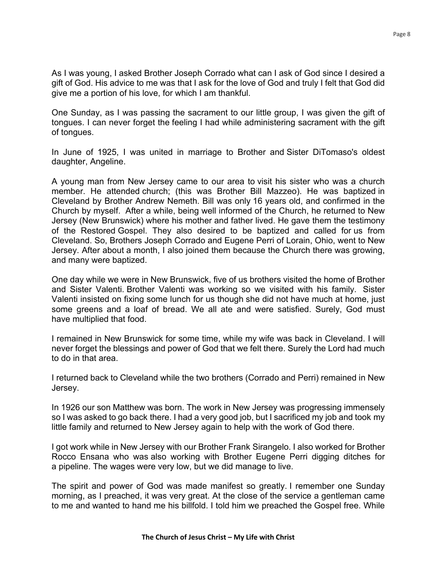As I was young, I asked Brother Joseph Corrado what can I ask of God since I desired a gift of God. His advice to me was that I ask for the love of God and truly I felt that God did give me a portion of his love, for which I am thankful.

One Sunday, as I was passing the sacrament to our little group, I was given the gift of tongues. I can never forget the feeling I had while administering sacrament with the gift of tongues.

In June of 1925, I was united in marriage to Brother and Sister DiTomaso's oldest daughter, Angeline.

A young man from New Jersey came to our area to visit his sister who was a church member. He attended church; (this was Brother Bill Mazzeo). He was baptized in Cleveland by Brother Andrew Nemeth. Bill was only 16 years old, and confirmed in the Church by myself. After a while, being well informed of the Church, he returned to New Jersey (New Brunswick) where his mother and father lived. He gave them the testimony of the Restored Gospel. They also desired to be baptized and called for us from Cleveland. So, Brothers Joseph Corrado and Eugene Perri of Lorain, Ohio, went to New Jersey. After about a month, I also joined them because the Church there was growing, and many were baptized.

One day while we were in New Brunswick, five of us brothers visited the home of Brother and Sister Valenti. Brother Valenti was working so we visited with his family. Sister Valenti insisted on fixing some lunch for us though she did not have much at home, just some greens and a loaf of bread. We all ate and were satisfied. Surely, God must have multiplied that food.

I remained in New Brunswick for some time, while my wife was back in Cleveland. I will never forget the blessings and power of God that we felt there. Surely the Lord had much to do in that area.

I returned back to Cleveland while the two brothers (Corrado and Perri) remained in New Jersey.

In 1926 our son Matthew was born. The work in New Jersey was progressing immensely so I was asked to go back there. I had a very good job, but I sacrificed my job and took my little family and returned to New Jersey again to help with the work of God there.

I got work while in New Jersey with our Brother Frank Sirangelo. I also worked for Brother Rocco Ensana who was also working with Brother Eugene Perri digging ditches for a pipeline. The wages were very low, but we did manage to live.

The spirit and power of God was made manifest so greatly. I remember one Sunday morning, as I preached, it was very great. At the close of the service a gentleman came to me and wanted to hand me his billfold. I told him we preached the Gospel free. While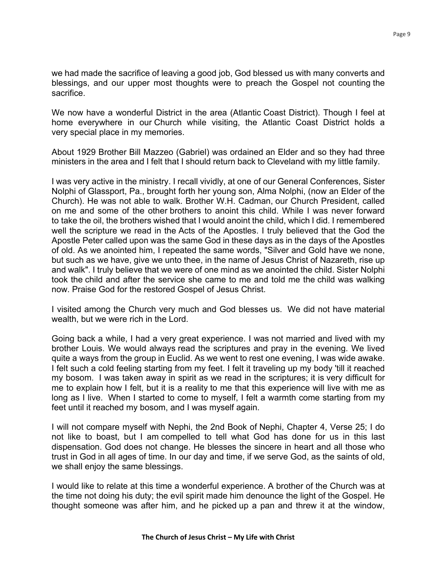we had made the sacrifice of leaving a good job, God blessed us with many converts and blessings, and our upper most thoughts were to preach the Gospel not counting the sacrifice.

We now have a wonderful District in the area (Atlantic Coast District). Though I feel at home everywhere in our Church while visiting, the Atlantic Coast District holds a very special place in my memories.

About 1929 Brother Bill Mazzeo (Gabriel) was ordained an Elder and so they had three ministers in the area and I felt that I should return back to Cleveland with my little family.

I was very active in the ministry. I recall vividly, at one of our General Conferences, Sister Nolphi of Glassport, Pa., brought forth her young son, Alma Nolphi, (now an Elder of the Church). He was not able to walk. Brother W.H. Cadman, our Church President, called on me and some of the other brothers to anoint this child. While I was never forward to take the oil, the brothers wished that I would anoint the child, which I did. I remembered well the scripture we read in the Acts of the Apostles. I truly believed that the God the Apostle Peter called upon was the same God in these days as in the days of the Apostles of old. As we anointed him, I repeated the same words, "Silver and Gold have we none, but such as we have, give we unto thee, in the name of Jesus Christ of Nazareth, rise up and walk". I truly believe that we were of one mind as we anointed the child. Sister Nolphi took the child and after the service she came to me and told me the child was walking now. Praise God for the restored Gospel of Jesus Christ.

I visited among the Church very much and God blesses us. We did not have material wealth, but we were rich in the Lord.

Going back a while, I had a very great experience. I was not married and lived with my brother Louis. We would always read the scriptures and pray in the evening. We lived quite a ways from the group in Euclid. As we went to rest one evening, I was wide awake. I felt such a cold feeling starting from my feet. I felt it traveling up my body 'till it reached my bosom. I was taken away in spirit as we read in the scriptures; it is very difficult for me to explain how I felt, but it is a reality to me that this experience will live with me as long as I live. When I started to come to myself, I felt a warmth come starting from my feet until it reached my bosom, and I was myself again.

I will not compare myself with Nephi, the 2nd Book of Nephi, Chapter 4, Verse 25; I do not like to boast, but I am compelled to tell what God has done for us in this last dispensation. God does not change. He blesses the sincere in heart and all those who trust in God in all ages of time. In our day and time, if we serve God, as the saints of old, we shall enjoy the same blessings.

I would like to relate at this time a wonderful experience. A brother of the Church was at the time not doing his duty; the evil spirit made him denounce the light of the Gospel. He thought someone was after him, and he picked up a pan and threw it at the window,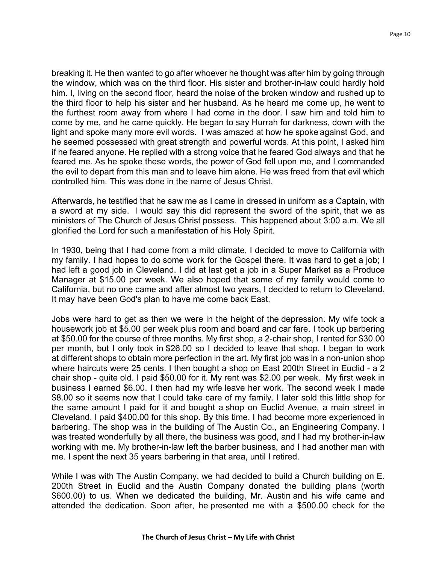breaking it. He then wanted to go after whoever he thought was after him by going through the window, which was on the third floor. His sister and brother-in-law could hardly hold him. I, living on the second floor, heard the noise of the broken window and rushed up to the third floor to help his sister and her husband. As he heard me come up, he went to the furthest room away from where I had come in the door. I saw him and told him to come by me, and he came quickly. He began to say Hurrah for darkness, down with the light and spoke many more evil words. I was amazed at how he spoke against God, and he seemed possessed with great strength and powerful words. At this point, I asked him if he feared anyone. He replied with a strong voice that he feared God always and that he feared me. As he spoke these words, the power of God fell upon me, and I commanded the evil to depart from this man and to leave him alone. He was freed from that evil which controlled him. This was done in the name of Jesus Christ.

Afterwards, he testified that he saw me as I came in dressed in uniform as a Captain, with a sword at my side. I would say this did represent the sword of the spirit, that we as ministers of The Church of Jesus Christ possess. This happened about 3:00 a.m. We all glorified the Lord for such a manifestation of his Holy Spirit.

In 1930, being that I had come from a mild climate, I decided to move to California with my family. I had hopes to do some work for the Gospel there. It was hard to get a job; I had left a good job in Cleveland. I did at last get a job in a Super Market as a Produce Manager at \$15.00 per week. We also hoped that some of my family would come to California, but no one came and after almost two years, I decided to return to Cleveland. It may have been God's plan to have me come back East.

Jobs were hard to get as then we were in the height of the depression. My wife took a housework job at \$5.00 per week plus room and board and car fare. I took up barbering at \$50.00 for the course of three months. My first shop, a 2-chair shop, I rented for \$30.00 per month, but I only took in \$26.00 so I decided to leave that shop. I began to work at different shops to obtain more perfection in the art. My first job was in a non-union shop where haircuts were 25 cents. I then bought a shop on East 200th Street in Euclid - a 2 chair shop - quite old. I paid \$50.00 for it. My rent was \$2.00 per week. My first week in business I earned \$6.00. I then had my wife leave her work. The second week I made \$8.00 so it seems now that I could take care of my family. I later sold this little shop for the same amount I paid for it and bought a shop on Euclid Avenue, a main street in Cleveland. I paid \$400.00 for this shop. By this time, I had become more experienced in barbering. The shop was in the building of The Austin Co., an Engineering Company. I was treated wonderfully by all there, the business was good, and I had my brother-in-law working with me. My brother-in-law left the barber business, and I had another man with me. I spent the next 35 years barbering in that area, until I retired.

While I was with The Austin Company, we had decided to build a Church building on E. 200th Street in Euclid and the Austin Company donated the building plans (worth \$600.00) to us. When we dedicated the building, Mr. Austin and his wife came and attended the dedication. Soon after, he presented me with a \$500.00 check for the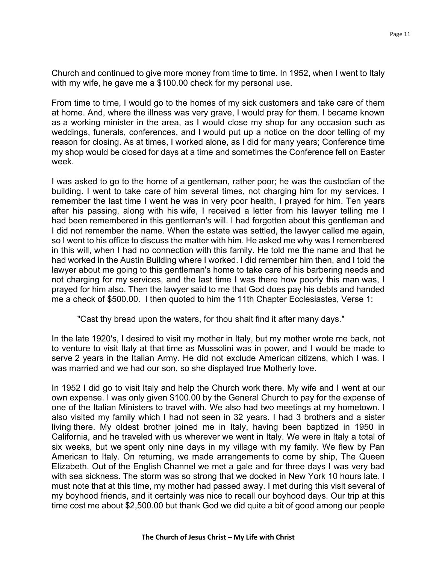Church and continued to give more money from time to time. In 1952, when I went to Italy with my wife, he gave me a \$100.00 check for my personal use.

From time to time, I would go to the homes of my sick customers and take care of them at home. And, where the illness was very grave, I would pray for them. I became known as a working minister in the area, as I would close my shop for any occasion such as weddings, funerals, conferences, and I would put up a notice on the door telling of my reason for closing. As at times, I worked alone, as I did for many years; Conference time my shop would be closed for days at a time and sometimes the Conference fell on Easter week.

I was asked to go to the home of a gentleman, rather poor; he was the custodian of the building. I went to take care of him several times, not charging him for my services. I remember the last time I went he was in very poor health, I prayed for him. Ten years after his passing, along with his wife, I received a letter from his lawyer telling me I had been remembered in this gentleman's will. I had forgotten about this gentleman and I did not remember the name. When the estate was settled, the lawyer called me again, so I went to his office to discuss the matter with him. He asked me why was I remembered in this will, when I had no connection with this family. He told me the name and that he had worked in the Austin Building where I worked. I did remember him then, and I told the lawyer about me going to this gentleman's home to take care of his barbering needs and not charging for my services, and the last time I was there how poorly this man was, I prayed for him also. Then the lawyer said to me that God does pay his debts and handed me a check of \$500.00. I then quoted to him the 11th Chapter Ecclesiastes, Verse 1:

"Cast thy bread upon the waters, for thou shalt find it after many days."

In the late 1920's, I desired to visit my mother in Italy, but my mother wrote me back, not to venture to visit Italy at that time as Mussolini was in power, and I would be made to serve 2 years in the Italian Army. He did not exclude American citizens, which I was. I was married and we had our son, so she displayed true Motherly love.

In 1952 I did go to visit Italy and help the Church work there. My wife and I went at our own expense. I was only given \$100.00 by the General Church to pay for the expense of one of the Italian Ministers to travel with. We also had two meetings at my hometown. I also visited my family which I had not seen in 32 years. I had 3 brothers and a sister living there. My oldest brother joined me in Italy, having been baptized in 1950 in California, and he traveled with us wherever we went in Italy. We were in Italy a total of six weeks, but we spent only nine days in my village with my family. We flew by Pan American to Italy. On returning, we made arrangements to come by ship, The Queen Elizabeth. Out of the English Channel we met a gale and for three days I was very bad with sea sickness. The storm was so strong that we docked in New York 10 hours late. I must note that at this time, my mother had passed away. I met during this visit several of my boyhood friends, and it certainly was nice to recall our boyhood days. Our trip at this time cost me about \$2,500.00 but thank God we did quite a bit of good among our people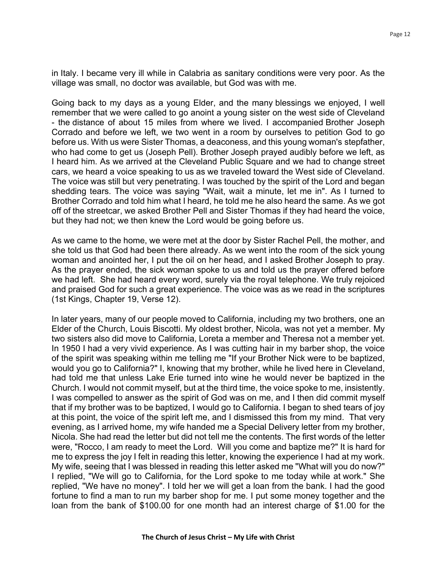in Italy. I became very ill while in Calabria as sanitary conditions were very poor. As the village was small, no doctor was available, but God was with me.

Going back to my days as a young Elder, and the many blessings we enjoyed, I well remember that we were called to go anoint a young sister on the west side of Cleveland - the distance of about 15 miles from where we lived. I accompanied Brother Joseph Corrado and before we left, we two went in a room by ourselves to petition God to go before us. With us were Sister Thomas, a deaconess, and this young woman's stepfather, who had come to get us (Joseph Pell). Brother Joseph prayed audibly before we left, as I heard him. As we arrived at the Cleveland Public Square and we had to change street cars, we heard a voice speaking to us as we traveled toward the West side of Cleveland. The voice was still but very penetrating. I was touched by the spirit of the Lord and began shedding tears. The voice was saying "Wait, wait a minute, let me in". As I turned to Brother Corrado and told him what I heard, he told me he also heard the same. As we got off of the streetcar, we asked Brother Pell and Sister Thomas if they had heard the voice, but they had not; we then knew the Lord would be going before us.

As we came to the home, we were met at the door by Sister Rachel Pell, the mother, and she told us that God had been there already. As we went into the room of the sick young woman and anointed her, I put the oil on her head, and I asked Brother Joseph to pray. As the prayer ended, the sick woman spoke to us and told us the prayer offered before we had left. She had heard every word, surely via the royal telephone. We truly rejoiced and praised God for such a great experience. The voice was as we read in the scriptures (1st Kings, Chapter 19, Verse 12).

In later years, many of our people moved to California, including my two brothers, one an Elder of the Church, Louis Biscotti. My oldest brother, Nicola, was not yet a member. My two sisters also did move to California, Loreta a member and Theresa not a member yet. In 1950 I had a very vivid experience. As I was cutting hair in my barber shop, the voice of the spirit was speaking within me telling me "If your Brother Nick were to be baptized, would you go to California?" I, knowing that my brother, while he lived here in Cleveland, had told me that unless Lake Erie turned into wine he would never be baptized in the Church. I would not commit myself, but at the third time, the voice spoke to me, insistently. I was compelled to answer as the spirit of God was on me, and I then did commit myself that if my brother was to be baptized, I would go to California. I began to shed tears of joy at this point, the voice of the spirit left me, and I dismissed this from my mind. That very evening, as I arrived home, my wife handed me a Special Delivery letter from my brother, Nicola. She had read the letter but did not tell me the contents. The first words of the letter were, "Rocco, I am ready to meet the Lord. Will you come and baptize me?" It is hard for me to express the joy I felt in reading this letter, knowing the experience I had at my work. My wife, seeing that I was blessed in reading this letter asked me "What will you do now?" I replied, "We will go to California, for the Lord spoke to me today while at work." She replied, "We have no money". I told her we will get a loan from the bank. I had the good fortune to find a man to run my barber shop for me. I put some money together and the loan from the bank of \$100.00 for one month had an interest charge of \$1.00 for the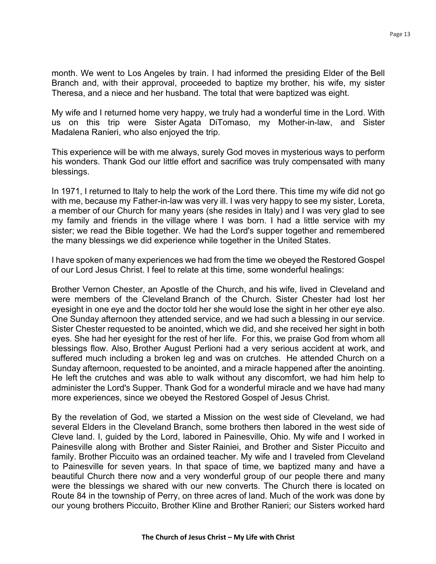month. We went to Los Angeles by train. I had informed the presiding Elder of the Bell Branch and, with their approval, proceeded to baptize my brother, his wife, my sister Theresa, and a niece and her husband. The total that were baptized was eight.

My wife and I returned home very happy, we truly had a wonderful time in the Lord. With us on this trip were Sister Agata DiTomaso, my Mother-in-law, and Sister Madalena Ranieri, who also enjoyed the trip.

This experience will be with me always, surely God moves in mysterious ways to perform his wonders. Thank God our little effort and sacrifice was truly compensated with many blessings.

In 1971, I returned to Italy to help the work of the Lord there. This time my wife did not go with me, because my Father-in-law was very ill. I was very happy to see my sister, Loreta, a member of our Church for many years (she resides in Italy) and I was very glad to see my family and friends in the village where I was born. I had a little service with my sister; we read the Bible together. We had the Lord's supper together and remembered the many blessings we did experience while together in the United States.

I have spoken of many experiences we had from the time we obeyed the Restored Gospel of our Lord Jesus Christ. I feel to relate at this time, some wonderful healings:

Brother Vernon Chester, an Apostle of the Church, and his wife, lived in Cleveland and were members of the Cleveland Branch of the Church. Sister Chester had lost her eyesight in one eye and the doctor told her she would lose the sight in her other eye also. One Sunday afternoon they attended service, and we had such a blessing in our service. Sister Chester requested to be anointed, which we did, and she received her sight in both eyes. She had her eyesight for the rest of her life. For this, we praise God from whom all blessings flow. Also, Brother August Perlioni had a very serious accident at work, and suffered much including a broken leg and was on crutches. He attended Church on a Sunday afternoon, requested to be anointed, and a miracle happened after the anointing. He left the crutches and was able to walk without any discomfort, we had him help to administer the Lord's Supper. Thank God for a wonderful miracle and we have had many more experiences, since we obeyed the Restored Gospel of Jesus Christ.

By the revelation of God, we started a Mission on the west side of Cleveland, we had several Elders in the Cleveland Branch, some brothers then labored in the west side of Cleve land. I, guided by the Lord, labored in Painesville, Ohio. My wife and I worked in Painesville along with Brother and Sister Rainiei, and Brother and Sister Piccuito and family. Brother Piccuito was an ordained teacher. My wife and I traveled from Cleveland to Painesville for seven years. In that space of time, we baptized many and have a beautiful Church there now and a very wonderful group of our people there and many were the blessings we shared with our new converts. The Church there is located on Route 84 in the township of Perry, on three acres of land. Much of the work was done by our young brothers Piccuito, Brother Kline and Brother Ranieri; our Sisters worked hard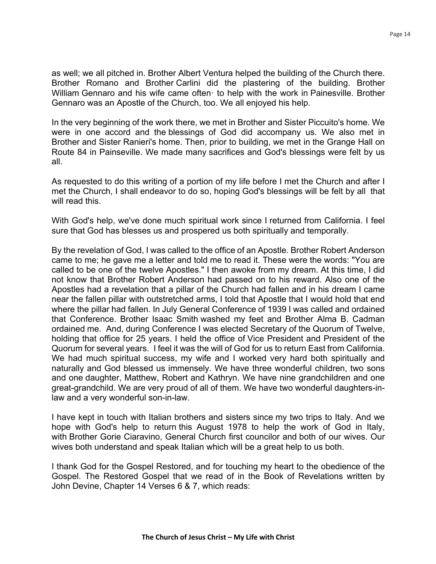as well; we all pitched in. Brother Albert Ventura helped the building of the Church there. Brother Romano and Brother Carlini did the plastering of the building. Brother William Gennaro and his wife came often to help with the work in Painesville. Brother Gennaro was an Apostle of the Church, too. We all enjoyed his help.

In the very beginning of the work there, we met in Brother and Sister Piccuito's home. We were in one accord and the blessings of God did accompany us. We also met in Brother and Sister Ranieri's home. Then, prior to building, we met in the Grange Hall on Route 84 in Painseville. We made many sacrifices and God's blessings were felt by us all.

As requested to do this writing of a portion of my life before I met the Church and after I met the Church, I shall endeavor to do so, hoping God's blessings will be felt by all that will read this.

With God's help, we've done much spiritual work since I returned from California. I feel sure that God has blesses us and prospered us both spiritually and temporally.

By the revelation of God, I was called to the office of an Apostle. Brother Robert Anderson came to me; he gave me a letter and told me to read it. These were the words: "You are called to be one of the twelve Apostles." I then awoke from my dream. At this time, I did not know that Brother Robert Anderson had passed on to his reward. Also one of the Apostles had a revelation that a pillar of the Church had fallen and in his dream I came near the fallen pillar with outstretched arms, I told that Apostle that I would hold that end where the pillar had fallen. In July General Conference of 1939 I was called and ordained that Conference. Brother Isaac Smith washed my feet and Brother Alma B. Cadman ordained me. And, during Conference I was elected Secretary of the Quorum of Twelve, holding that office for 25 years. I held the office of Vice President and President of the Quorum for several years. I feel it was the will of God for us to return East from California. We had much spiritual success, my wife and I worked very hard both spiritually and naturally and God blessed us immensely. We have three wonderful children, two sons and one daughter, Matthew, Robert and Kathryn. We have nine grandchildren and one great-grandchild. We are very proud of all of them. We have two wonderful daughters-inlaw and a very wonderful son-in-law.

I have kept in touch with Italian brothers and sisters since my two trips to Italy. And we hope with God's help to return this August 1978 to help the work of God in Italy, with Brother Gorie Ciaravino, General Church first councilor and both of our wives. Our wives both understand and speak Italian which will be a great help to us both.

I thank God for the Gospel Restored, and for touching my heart to the obedience of the Gospel. The Restored Gospel that we read of in the Book of Revelations written by John Devine, Chapter 14 Verses 6 & 7, which reads: